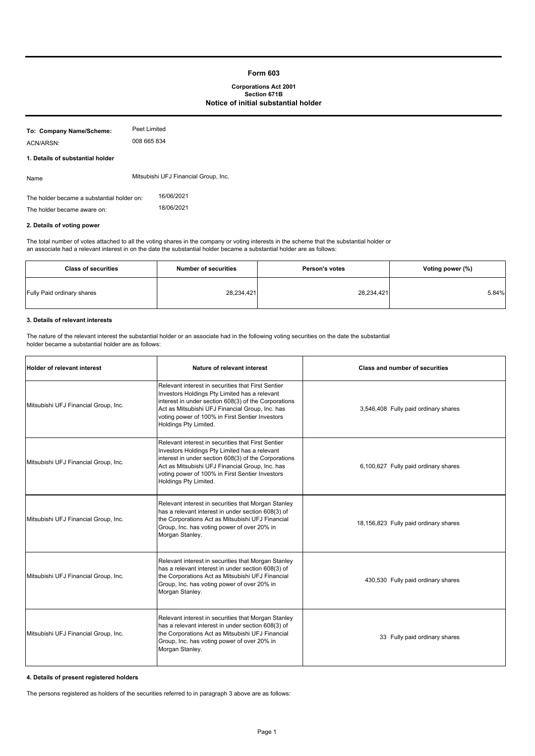# **Form 603**

### **Corporations Act 2001 Section 671B Notice of initial substantial holder**

| To: Company Name/Scheme:<br>ACN/ARSN:      | Peet Limited<br>008 665 834          |
|--------------------------------------------|--------------------------------------|
| 1. Details of substantial holder           |                                      |
| Name                                       | Mitsubishi UFJ Financial Group, Inc. |
| The holder became a substantial holder on: | 16/06/2021                           |
| The holder became aware on:                | 18/06/2021                           |

### **2. Details of voting power**

The total number of votes attached to all the voting shares in the company or voting interests in the scheme that the substantial holder or an associate had a relevant interest in on the date the substantial holder became a substantial holder are as follows:

| <b>Class of securities</b> | <b>Number of securities</b> | <b>Person's votes</b> | Voting power (%) |
|----------------------------|-----------------------------|-----------------------|------------------|
| Fully Paid ordinary shares | 28,234,421                  | 28,234,421            | 5.84%            |

# **3. Details of relevant interests**

The nature of the relevant interest the substantial holder or an associate had in the following voting securities on the date the substantial holder became a substantial holder are as follows:

| <b>Holder of relevant interest</b>   | Nature of relevant interest                                                                                                                                                                                                                                                                | <b>Class and number of securities</b> |
|--------------------------------------|--------------------------------------------------------------------------------------------------------------------------------------------------------------------------------------------------------------------------------------------------------------------------------------------|---------------------------------------|
| Mitsubishi UFJ Financial Group, Inc. | Relevant interest in securities that First Sentier<br>Investors Holdings Pty Limited has a relevant<br>interest in under section 608(3) of the Corporations<br>Act as Mitsubishi UFJ Financial Group, Inc. has<br>voting power of 100% in First Sentier Investors<br>Holdings Pty Limited. | 3,546,408 Fully paid ordinary shares  |
| Mitsubishi UFJ Financial Group, Inc. | Relevant interest in securities that First Sentier<br>Investors Holdings Pty Limited has a relevant<br>interest in under section 608(3) of the Corporations<br>Act as Mitsubishi UFJ Financial Group, Inc. has<br>voting power of 100% in First Sentier Investors<br>Holdings Pty Limited. | 6,100,627 Fully paid ordinary shares  |
| Mitsubishi UFJ Financial Group, Inc. | Relevant interest in securities that Morgan Stanley<br>has a relevant interest in under section 608(3) of<br>the Corporations Act as Mitsubishi UFJ Financial<br>Group, Inc. has voting power of over 20% in<br>Morgan Stanley.                                                            | 18,156,823 Fully paid ordinary shares |
| Mitsubishi UFJ Financial Group, Inc. | Relevant interest in securities that Morgan Stanley<br>has a relevant interest in under section 608(3) of<br>the Corporations Act as Mitsubishi UFJ Financial<br>Group, Inc. has voting power of over 20% in<br>Morgan Stanley.                                                            | 430,530 Fully paid ordinary shares    |
| Mitsubishi UFJ Financial Group, Inc. | Relevant interest in securities that Morgan Stanley<br>has a relevant interest in under section 608(3) of<br>the Corporations Act as Mitsubishi UFJ Financial<br>Group, Inc. has voting power of over 20% in<br>Morgan Stanley.                                                            | 33 Fully paid ordinary shares         |

#### **4. Details of present registered holders**

The persons registered as holders of the securities referred to in paragraph 3 above are as follows: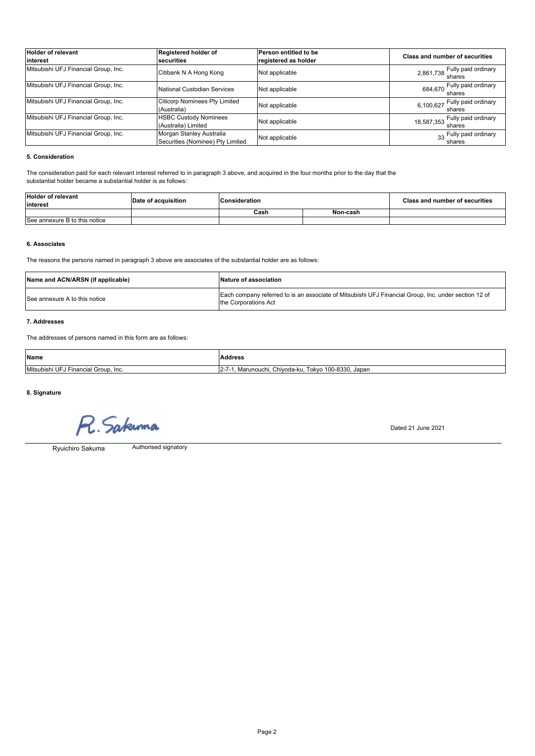| <b>Holder of relevant</b><br>linterest | Registered holder of<br>securities                           | Person entitled to be<br>registered as holder | <b>Class and number of securities</b>    |
|----------------------------------------|--------------------------------------------------------------|-----------------------------------------------|------------------------------------------|
| Mitsubishi UFJ Financial Group, Inc.   | Citibank N A Hong Kong                                       | Not applicable                                | 2,861,738 Fully paid ordinary<br>shares  |
| Mitsubishi UFJ Financial Group, Inc.   | National Custodian Services                                  | Not applicable                                | 684,670 Fully paid ordinary<br>shares    |
| Mitsubishi UFJ Financial Group, Inc.   | <b>Citicorp Nominees Pty Limited</b><br>(Australia)          | Not applicable                                | 6,100,627 Fully paid ordinary            |
| Mitsubishi UFJ Financial Group, Inc.   | <b>HSBC Custody Nominees</b><br>(Australia) Limited          | Not applicable                                | 18,587,353 Fully paid ordinary<br>shares |
| Mitsubishi UFJ Financial Group, Inc.   | Morgan Stanley Australia<br>Securities (Nominee) Pty Limited | Not applicable                                | 33 Fully paid ordinary<br>shares         |

# **5. Consideration**

The consideration paid for each relevant interest referred to in paragraph 3 above, and acquired in the four months prior to the day that the substantial holder became a substantial holder is as follows:

| <b>Holder of relevant</b><br>interest | <b>Date of acquisition</b> | Consideration |          | <b>Class and number of securities</b> |
|---------------------------------------|----------------------------|---------------|----------|---------------------------------------|
|                                       |                            | Cash          | Non-cash |                                       |
| See annexure B to this notice         |                            |               |          |                                       |

# **6. Associates**

The reasons the persons named in paragraph 3 above are associates of the substantial holder are as follows:

| Name and ACN/ARSN (if applicable) | Nature of association                                                                                                        |
|-----------------------------------|------------------------------------------------------------------------------------------------------------------------------|
| See annexure A to this notice     | Each company referred to is an associate of Mitsubishi UFJ Financial Group, Inc. under section 12 of<br>the Corporations Act |

# **7. Addresses**

The addresses of persons named in this form are as follows:

| Name                                              | Address                                                      |
|---------------------------------------------------|--------------------------------------------------------------|
| Mitsubishi<br>i UFJ F'<br>I Financial Group, Inc. | Tokyo 100-8330, Japan<br>. Chivoda-ku.<br>Marunouchi.<br>ız- |

**8. Signature**

R. Sakuma

Dated 21 June 2021

Ryuichiro Sakuma

Authorised signatory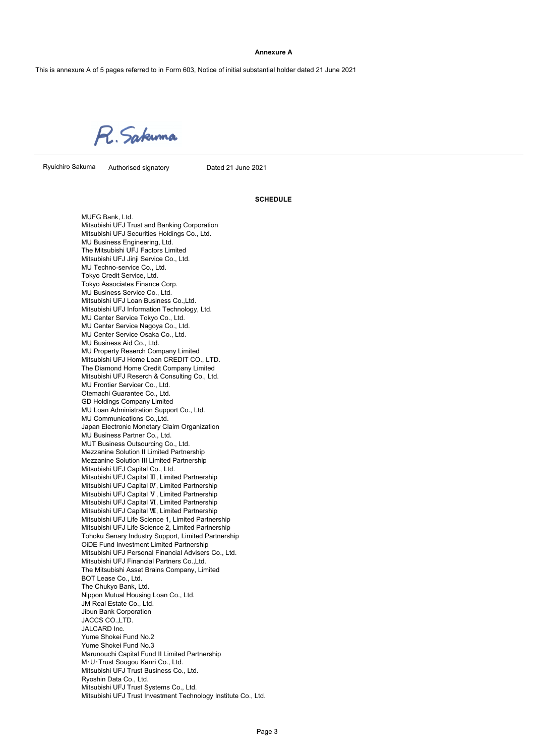#### **Annexure A**

This is annexure A of 5 pages referred to in Form 603, Notice of initial substantial holder dated 21 June 2021

R. Sakuma

Ryuichiro Sakuma

Authorised signatory Dated 21 June 2021

#### **SCHEDULE**

MUFG Bank, Ltd. Mitsubishi UFJ Trust and Banking Corporation Mitsubishi UFJ Securities Holdings Co., Ltd. MU Business Engineering, Ltd. The Mitsubishi UFJ Factors Limited Mitsubishi UFJ Jinji Service Co., Ltd. MU Techno-service Co., Ltd. Tokyo Credit Service, Ltd. Tokyo Associates Finance Corp. MU Business Service Co., Ltd. Mitsubishi UFJ Loan Business Co.,Ltd. Mitsubishi UFJ Information Technology, Ltd. MU Center Service Tokyo Co., Ltd. MU Center Service Nagoya Co., Ltd. MU Center Service Osaka Co., Ltd. MU Business Aid Co., Ltd. MU Property Reserch Company Limited Mitsubishi UFJ Home Loan CREDIT CO., LTD. The Diamond Home Credit Company Limited Mitsubishi UFJ Reserch & Consulting Co., Ltd. MU Frontier Servicer Co., Ltd. Otemachi Guarantee Co., Ltd. GD Holdings Company Limited MU Loan Administration Support Co., Ltd. MU Communications Co.,Ltd. Japan Electronic Monetary Claim Organization MU Business Partner Co., Ltd. MUT Business Outsourcing Co., Ltd. Mezzanine Solution II Limited Partnership Mezzanine Solution III Limited Partnership Mitsubishi UFJ Capital Co., Ltd. Mitsubishi UFJ Capital Ⅲ, Limited Partnership Mitsubishi UFJ Capital Ⅳ, Limited Partnership Mitsubishi UFJ Capital Ⅴ, Limited Partnership Mitsubishi UFJ Capital Ⅵ, Limited Partnership Mitsubishi UFJ Capital Ⅶ, Limited Partnership Mitsubishi UFJ Life Science 1, Limited Partnership Mitsubishi UFJ Life Science 2, Limited Partnership Tohoku Senary Industry Support, Limited Partnership OiDE Fund Investment Limited Partnership Mitsubishi UFJ Personal Financial Advisers Co., Ltd. Mitsubishi UFJ Financial Partners Co.,Ltd. The Mitsubishi Asset Brains Company, Limited BOT Lease Co., Ltd. The Chukyo Bank, Ltd. Nippon Mutual Housing Loan Co., Ltd. JM Real Estate Co., Ltd. Jibun Bank Corporation JACCS CO.,LTD. JALCARD Inc. Yume Shokei Fund No.2 Yume Shokei Fund No.3 Marunouchi Capital Fund II Limited Partnership M・U・Trust Sougou Kanri Co., Ltd. Mitsubishi UFJ Trust Business Co., Ltd. Ryoshin Data Co., Ltd. Mitsubishi UFJ Trust Systems Co., Ltd. Mitsubishi UFJ Trust Investment Technology Institute Co., Ltd.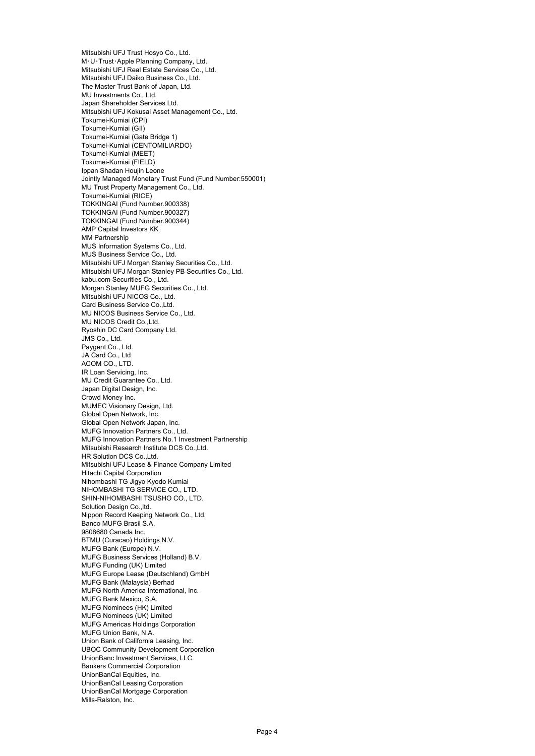Mitsubishi UFJ Trust Hosyo Co., Ltd. M・U・Trust・Apple Planning Company, Ltd. Mitsubishi UFJ Real Estate Services Co., Ltd. Mitsubishi UFJ Daiko Business Co., Ltd. The Master Trust Bank of Japan, Ltd. MU Investments Co., Ltd. Japan Shareholder Services Ltd. Mitsubishi UFJ Kokusai Asset Management Co., Ltd. Tokumei-Kumiai (CPI) Tokumei-Kumiai (GII) Tokumei-Kumiai (Gate Bridge 1) Tokumei-Kumiai (CENTOMILIARDO) Tokumei-Kumiai (MEET) Tokumei-Kumiai (FIELD) Ippan Shadan Houjin Leone Jointly Managed Monetary Trust Fund (Fund Number:550001) MU Trust Property Management Co., Ltd. Tokumei-Kumiai (RICE) TOKKINGAI (Fund Number.900338) TOKKINGAI (Fund Number.900327) TOKKINGAI (Fund Number.900344) AMP Capital Investors KK MM Partnership MUS Information Systems Co., Ltd. MUS Business Service Co., Ltd. Mitsubishi UFJ Morgan Stanley Securities Co., Ltd. Mitsubishi UFJ Morgan Stanley PB Securities Co., Ltd. kabu.com Securities Co., Ltd. Morgan Stanley MUFG Securities Co., Ltd. Mitsubishi UFJ NICOS Co., Ltd. Card Business Service Co.,Ltd. MU NICOS Business Service Co., Ltd. MU NICOS Credit Co.,Ltd. Ryoshin DC Card Company Ltd. JMS Co., Ltd. Paygent Co., Ltd. JA Card Co., Ltd ACOM CO., LTD. IR Loan Servicing, Inc. MU Credit Guarantee Co., Ltd. Japan Digital Design, Inc. Crowd Money Inc. MUMEC Visionary Design, Ltd. Global Open Network, Inc. Global Open Network Japan, Inc. MUFG Innovation Partners Co., Ltd. MUFG Innovation Partners No.1 Investment Partnership Mitsubishi Research Institute DCS Co.,Ltd. HR Solution DCS Co.,Ltd. Mitsubishi UFJ Lease & Finance Company Limited Hitachi Capital Corporation Nihombashi TG Jigyo Kyodo Kumiai NIHOMBASHI TG SERVICE CO., LTD. SHIN-NIHOMBASHI TSUSHO CO., LTD. Solution Design Co.,ltd. Nippon Record Keeping Network Co., Ltd. Banco MUFG Brasil S.A. 9808680 Canada Inc. BTMU (Curacao) Holdings N.V. MUFG Bank (Europe) N.V. MUFG Business Services (Holland) B.V. MUFG Funding (UK) Limited MUFG Europe Lease (Deutschland) GmbH MUFG Bank (Malaysia) Berhad MUFG North America International, Inc. MUFG Bank Mexico, S.A. MUFG Nominees (HK) Limited MUFG Nominees (UK) Limited MUFG Americas Holdings Corporation MUFG Union Bank, N.A. Union Bank of California Leasing, Inc. UBOC Community Development Corporation UnionBanc Investment Services, LLC Bankers Commercial Corporation UnionBanCal Equities, Inc. UnionBanCal Leasing Corporation UnionBanCal Mortgage Corporation Mills-Ralston, Inc.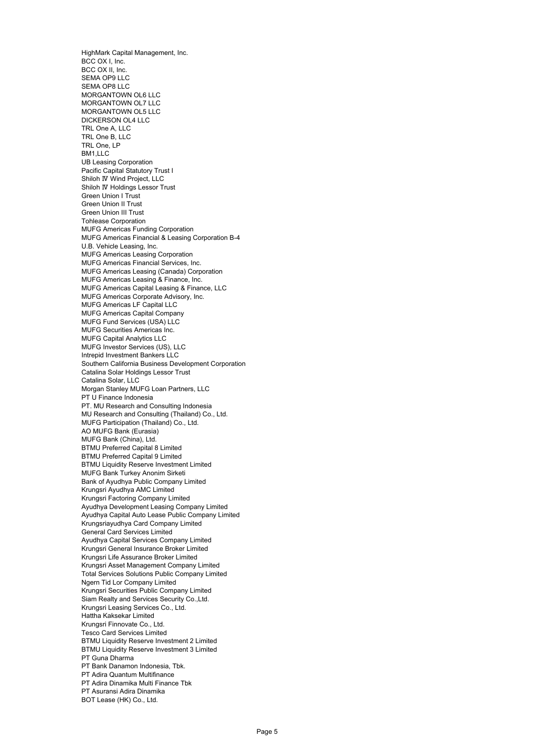HighMark Capital Management, Inc. BCC OX I, Inc. BCC OX II, Inc. SEMA OP9 LLC SEMA OP8 LLC MORGANTOWN OL6 LLC MORGANTOWN OL7 LLC MORGANTOWN OL5 LLC DICKERSON OL4 LLC TRL One A, LLC TRL One B, LLC TRL One, LP BM1,LLC UB Leasing Corporation Pacific Capital Statutory Trust I Shiloh Ⅳ Wind Project, LLC Shiloh Ⅳ Holdings Lessor Trust Green Union I Trust Green Union II Trust Green Union III Trust Tohlease Corporation MUFG Americas Funding Corporation MUFG Americas Financial & Leasing Corporation B-4 U.B. Vehicle Leasing, Inc. MUFG Americas Leasing Corporation MUFG Americas Financial Services, Inc. MUFG Americas Leasing (Canada) Corporation MUFG Americas Leasing & Finance, Inc. MUFG Americas Capital Leasing & Finance, LLC MUFG Americas Corporate Advisory, Inc. MUFG Americas LF Capital LLC MUFG Americas Capital Company MUFG Fund Services (USA) LLC MUFG Securities Americas Inc. MUFG Capital Analytics LLC MUFG Investor Services (US), LLC Intrepid Investment Bankers LLC Southern California Business Development Corporation Catalina Solar Holdings Lessor Trust Catalina Solar, LLC Morgan Stanley MUFG Loan Partners, LLC PT U Finance Indonesia PT. MU Research and Consulting Indonesia MU Research and Consulting (Thailand) Co., Ltd. MUFG Participation (Thailand) Co., Ltd. AO MUFG Bank (Eurasia) MUFG Bank (China), Ltd. BTMU Preferred Capital 8 Limited BTMU Preferred Capital 9 Limited BTMU Liquidity Reserve Investment Limited MUFG Bank Turkey Anonim Sirketi Bank of Ayudhya Public Company Limited Krungsri Ayudhya AMC Limited Krungsri Factoring Company Limited Ayudhya Development Leasing Company Limited Ayudhya Capital Auto Lease Public Company Limited Krungsriayudhya Card Company Limited General Card Services Limited Ayudhya Capital Services Company Limited Krungsri General Insurance Broker Limited Krungsri Life Assurance Broker Limited Krungsri Asset Management Company Limited Total Services Solutions Public Company Limited Ngern Tid Lor Company Limited Krungsri Securities Public Company Limited Siam Realty and Services Security Co.,Ltd. Krungsri Leasing Services Co., Ltd. Hattha Kaksekar Limited Krungsri Finnovate Co., Ltd. Tesco Card Services Limited BTMU Liquidity Reserve Investment 2 Limited BTMU Liquidity Reserve Investment 3 Limited PT Guna Dharma PT Bank Danamon Indonesia, Tbk. PT Adira Quantum Multifinance PT Adira Dinamika Multi Finance Tbk PT Asuransi Adira Dinamika BOT Lease (HK) Co., Ltd.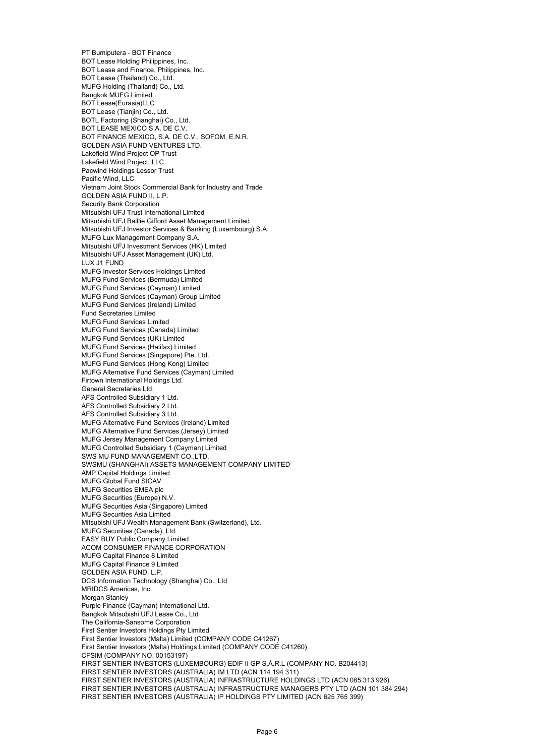PT Bumiputera - BOT Finance BOT Lease Holding Philippines, Inc. BOT Lease and Finance, Philippines, Inc. BOT Lease (Thailand) Co., Ltd. MUFG Holding (Thailand) Co., Ltd. Bangkok MUFG Limited BOT Lease(Eurasia)LLC BOT Lease (Tianiin) Co., Ltd. BOTL Factoring (Shanghai) Co., Ltd. BOT LEASE MEXICO S.A. DE C.V. BOT FINANCE MEXICO, S.A. DE C.V., SOFOM, E.N.R. GOLDEN ASIA FUND VENTURES LTD. Lakefield Wind Project OP Trust Lakefield Wind Project, LLC Pacwind Holdings Lessor Trust Pacific Wind, LLC Vietnam Joint Stock Commercial Bank for Industry and Trade GOLDEN ASIA FUND II, L.P. Security Bank Corporation Mitsubishi UFJ Trust International Limited Mitsubishi UFJ Baillie Gifford Asset Management Limited Mitsubishi UFJ Investor Services & Banking (Luxembourg) S.A. MUFG Lux Management Company S.A. Mitsubishi UFJ Investment Services (HK) Limited Mitsubishi UFJ Asset Management (UK) Ltd. LUX J1 FUND MUFG Investor Services Holdings Limited MUFG Fund Services (Bermuda) Limited MUFG Fund Services (Cayman) Limited MUFG Fund Services (Cayman) Group Limited MUFG Fund Services (Ireland) Limited Fund Secretaries Limited MUFG Fund Services Limited MUFG Fund Services (Canada) Limited MUFG Fund Services (UK) Limited MUFG Fund Services (Halifax) Limited MUFG Fund Services (Singapore) Pte. Ltd. MUFG Fund Services (Hong Kong) Limited MUFG Alternative Fund Services (Cayman) Limited Firtown International Holdings Ltd. General Secretaries Ltd. AFS Controlled Subsidiary 1 Ltd. AFS Controlled Subsidiary 2 Ltd. AFS Controlled Subsidiary 3 Ltd. MUFG Alternative Fund Services (Ireland) Limited MUFG Alternative Fund Services (Jersey) Limited MUFG Jersey Management Company Limited MUFG Controlled Subsidiary 1 (Cayman) Limited SWS MU FUND MANAGEMENT CO.,LTD. SWSMU (SHANGHAI) ASSETS MANAGEMENT COMPANY LIMITED AMP Capital Holdings Limited MUFG Global Fund SICAV MUFG Securities EMEA plc MUFG Securities (Europe) N.V. MUFG Securities Asia (Singapore) Limited MUFG Securities Asia Limited Mitsubishi UFJ Wealth Management Bank (Switzerland), Ltd. MUFG Securities (Canada), Ltd. EASY BUY Public Company Limited ACOM CONSUMER FINANCE CORPORATION MUFG Capital Finance 8 Limited MUFG Capital Finance 9 Limited GOLDEN ASIA FUND, L.P. DCS Information Technology (Shanghai) Co., Ltd MRIDCS Americas, Inc. Morgan Stanley Purple Finance (Cayman) International Ltd. Bangkok Mitsubishi UFJ Lease Co., Ltd The California-Sansome Corporation First Sentier Investors Holdings Pty Limited First Sentier Investors (Malta) Limited (COMPANY CODE C41267) First Sentier Investors (Malta) Holdings Limited (COMPANY CODE C41260) CFSIM (COMPANY NO. 00153197) FIRST SENTIER INVESTORS (LUXEMBOURG) EDIF II GP S.Á.R.L (COMPANY NO. B204413) FIRST SENTIER INVESTORS (AUSTRALIA) IM LTD (ACN 114 194 311) FIRST SENTIER INVESTORS (AUSTRALIA) INFRASTRUCTURE HOLDINGS LTD (ACN 085 313 926) FIRST SENTIER INVESTORS (AUSTRALIA) INFRASTRUCTURE MANAGERS PTY LTD (ACN 101 384 294) FIRST SENTIER INVESTORS (AUSTRALIA) IP HOLDINGS PTY LIMITED (ACN 625 765 399)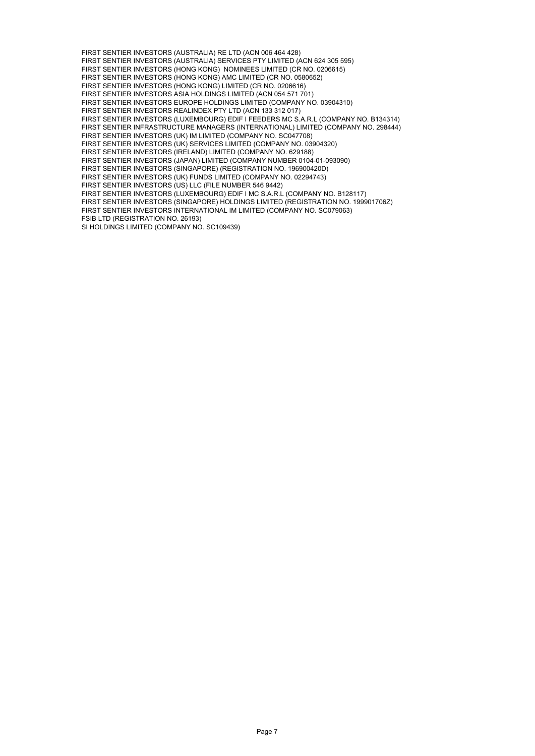FIRST SENTIER INVESTORS (AUSTRALIA) RE LTD (ACN 006 464 428) FIRST SENTIER INVESTORS (AUSTRALIA) SERVICES PTY LIMITED (ACN 624 305 595) FIRST SENTIER INVESTORS (HONG KONG) NOMINEES LIMITED (CR NO. 0206615) FIRST SENTIER INVESTORS (HONG KONG) AMC LIMITED (CR NO. 0580652) FIRST SENTIER INVESTORS (HONG KONG) LIMITED (CR NO. 0206616) FIRST SENTIER INVESTORS ASIA HOLDINGS LIMITED (ACN 054 571 701) FIRST SENTIER INVESTORS EUROPE HOLDINGS LIMITED (COMPANY NO. 03904310) FIRST SENTIER INVESTORS REALINDEX PTY LTD (ACN 133 312 017) FIRST SENTIER INVESTORS (LUXEMBOURG) EDIF I FEEDERS MC S.A.R.L (COMPANY NO. B134314) FIRST SENTIER INFRASTRUCTURE MANAGERS (INTERNATIONAL) LIMITED (COMPANY NO. 298444) FIRST SENTIER INVESTORS (UK) IM LIMITED (COMPANY NO. SC047708) FIRST SENTIER INVESTORS (UK) SERVICES LIMITED (COMPANY NO. 03904320) FIRST SENTIER INVESTORS (IRELAND) LIMITED (COMPANY NO. 629188) FIRST SENTIER INVESTORS (JAPAN) LIMITED (COMPANY NUMBER 0104-01-093090) FIRST SENTIER INVESTORS (SINGAPORE) (REGISTRATION NO. 196900420D) FIRST SENTIER INVESTORS (UK) FUNDS LIMITED (COMPANY NO. 02294743) FIRST SENTIER INVESTORS (US) LLC (FILE NUMBER 546 9442) FIRST SENTIER INVESTORS (LUXEMBOURG) EDIF I MC S.A.R.L (COMPANY NO. B128117) FIRST SENTIER INVESTORS (SINGAPORE) HOLDINGS LIMITED (REGISTRATION NO. 199901706Z) FIRST SENTIER INVESTORS INTERNATIONAL IM LIMITED (COMPANY NO. SC079063) FSIB LTD (REGISTRATION NO. 26193) SI HOLDINGS LIMITED (COMPANY NO. SC109439)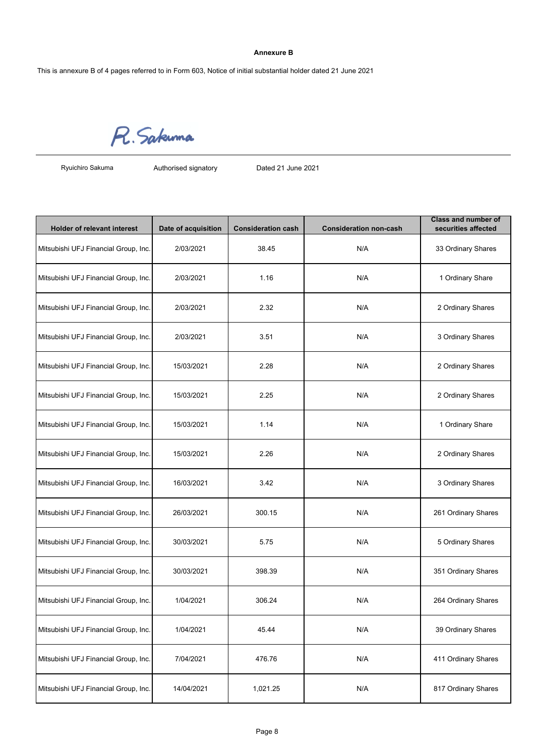### **Annexure B**

This is annexure B of 4 pages referred to in Form 603, Notice of initial substantial holder dated 21 June 2021

R. Sakuma

Ryuichiro Sakuma

Authorised signatory Dated 21 June 2021

| <b>Holder of relevant interest</b>   | Date of acquisition | <b>Consideration cash</b> | <b>Consideration non-cash</b> | <b>Class and number of</b><br>securities affected |
|--------------------------------------|---------------------|---------------------------|-------------------------------|---------------------------------------------------|
| Mitsubishi UFJ Financial Group, Inc. | 2/03/2021           | 38.45                     | N/A                           | 33 Ordinary Shares                                |
| Mitsubishi UFJ Financial Group, Inc. | 2/03/2021           | 1.16                      | N/A                           | 1 Ordinary Share                                  |
| Mitsubishi UFJ Financial Group, Inc. | 2/03/2021           | 2.32                      | N/A                           | 2 Ordinary Shares                                 |
| Mitsubishi UFJ Financial Group, Inc. | 2/03/2021           | 3.51                      | N/A                           | 3 Ordinary Shares                                 |
| Mitsubishi UFJ Financial Group, Inc. | 15/03/2021          | 2.28                      | N/A                           | 2 Ordinary Shares                                 |
| Mitsubishi UFJ Financial Group, Inc. | 15/03/2021          | 2.25                      | N/A                           | 2 Ordinary Shares                                 |
| Mitsubishi UFJ Financial Group, Inc. | 15/03/2021          | 1.14                      | N/A                           | 1 Ordinary Share                                  |
| Mitsubishi UFJ Financial Group, Inc. | 15/03/2021          | 2.26                      | N/A                           | 2 Ordinary Shares                                 |
| Mitsubishi UFJ Financial Group, Inc. | 16/03/2021          | 3.42                      | N/A                           | 3 Ordinary Shares                                 |
| Mitsubishi UFJ Financial Group, Inc. | 26/03/2021          | 300.15                    | N/A                           | 261 Ordinary Shares                               |
| Mitsubishi UFJ Financial Group, Inc. | 30/03/2021          | 5.75                      | N/A                           | 5 Ordinary Shares                                 |
| Mitsubishi UFJ Financial Group, Inc. | 30/03/2021          | 398.39                    | N/A                           | 351 Ordinary Shares                               |
| Mitsubishi UFJ Financial Group, Inc. | 1/04/2021           | 306.24                    | N/A                           | 264 Ordinary Shares                               |
| Mitsubishi UFJ Financial Group, Inc. | 1/04/2021           | 45.44                     | N/A                           | 39 Ordinary Shares                                |
| Mitsubishi UFJ Financial Group, Inc. | 7/04/2021           | 476.76                    | N/A                           | 411 Ordinary Shares                               |
| Mitsubishi UFJ Financial Group, Inc. | 14/04/2021          | 1,021.25                  | N/A                           | 817 Ordinary Shares                               |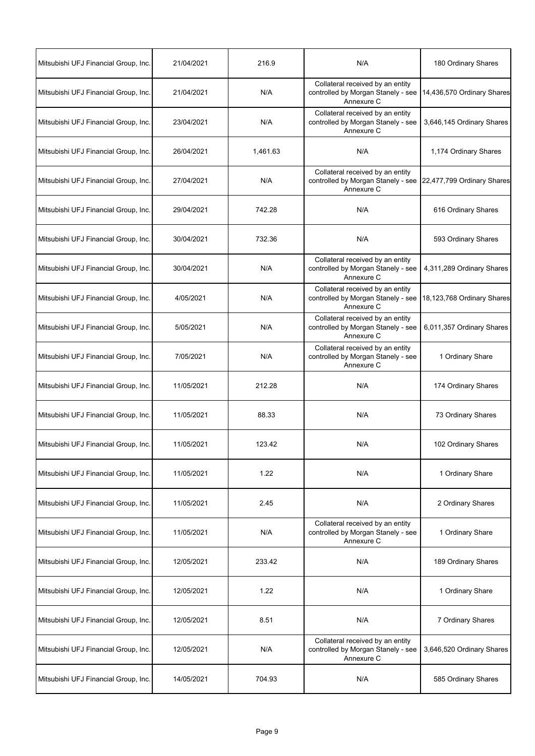| Mitsubishi UFJ Financial Group, Inc. | 21/04/2021 | 216.9    | N/A                                                                                  | 180 Ordinary Shares        |
|--------------------------------------|------------|----------|--------------------------------------------------------------------------------------|----------------------------|
| Mitsubishi UFJ Financial Group, Inc. | 21/04/2021 | N/A      | Collateral received by an entity<br>controlled by Morgan Stanely - see<br>Annexure C | 14,436,570 Ordinary Shares |
| Mitsubishi UFJ Financial Group, Inc. | 23/04/2021 | N/A      | Collateral received by an entity<br>controlled by Morgan Stanely - see<br>Annexure C | 3,646,145 Ordinary Shares  |
| Mitsubishi UFJ Financial Group, Inc. | 26/04/2021 | 1,461.63 | N/A                                                                                  | 1,174 Ordinary Shares      |
| Mitsubishi UFJ Financial Group, Inc. | 27/04/2021 | N/A      | Collateral received by an entity<br>controlled by Morgan Stanely - see<br>Annexure C | 22,477,799 Ordinary Shares |
| Mitsubishi UFJ Financial Group, Inc. | 29/04/2021 | 742.28   | N/A                                                                                  | 616 Ordinary Shares        |
| Mitsubishi UFJ Financial Group, Inc. | 30/04/2021 | 732.36   | N/A                                                                                  | 593 Ordinary Shares        |
| Mitsubishi UFJ Financial Group, Inc. | 30/04/2021 | N/A      | Collateral received by an entity<br>controlled by Morgan Stanely - see<br>Annexure C | 4,311,289 Ordinary Shares  |
| Mitsubishi UFJ Financial Group, Inc. | 4/05/2021  | N/A      | Collateral received by an entity<br>controlled by Morgan Stanely - see<br>Annexure C | 18,123,768 Ordinary Shares |
| Mitsubishi UFJ Financial Group, Inc. | 5/05/2021  | N/A      | Collateral received by an entity<br>controlled by Morgan Stanely - see<br>Annexure C | 6,011,357 Ordinary Shares  |
| Mitsubishi UFJ Financial Group, Inc. | 7/05/2021  | N/A      | Collateral received by an entity<br>controlled by Morgan Stanely - see<br>Annexure C | 1 Ordinary Share           |
| Mitsubishi UFJ Financial Group, Inc. | 11/05/2021 | 212.28   | N/A                                                                                  | 174 Ordinary Shares        |
| Mitsubishi UFJ Financial Group, Inc. | 11/05/2021 | 88.33    | N/A                                                                                  | 73 Ordinary Shares         |
| Mitsubishi UFJ Financial Group, Inc. | 11/05/2021 | 123.42   | N/A                                                                                  | 102 Ordinary Shares        |
| Mitsubishi UFJ Financial Group, Inc. | 11/05/2021 | 1.22     | N/A                                                                                  | 1 Ordinary Share           |
| Mitsubishi UFJ Financial Group, Inc. | 11/05/2021 | 2.45     | N/A                                                                                  | 2 Ordinary Shares          |
| Mitsubishi UFJ Financial Group, Inc. | 11/05/2021 | N/A      | Collateral received by an entity<br>controlled by Morgan Stanely - see<br>Annexure C | 1 Ordinary Share           |
| Mitsubishi UFJ Financial Group, Inc. | 12/05/2021 | 233.42   | N/A                                                                                  | 189 Ordinary Shares        |
| Mitsubishi UFJ Financial Group, Inc. | 12/05/2021 | 1.22     | N/A                                                                                  | 1 Ordinary Share           |
| Mitsubishi UFJ Financial Group, Inc. | 12/05/2021 | 8.51     | N/A                                                                                  | 7 Ordinary Shares          |
| Mitsubishi UFJ Financial Group, Inc. | 12/05/2021 | N/A      | Collateral received by an entity<br>controlled by Morgan Stanely - see<br>Annexure C | 3,646,520 Ordinary Shares  |
| Mitsubishi UFJ Financial Group, Inc. | 14/05/2021 | 704.93   | N/A                                                                                  | 585 Ordinary Shares        |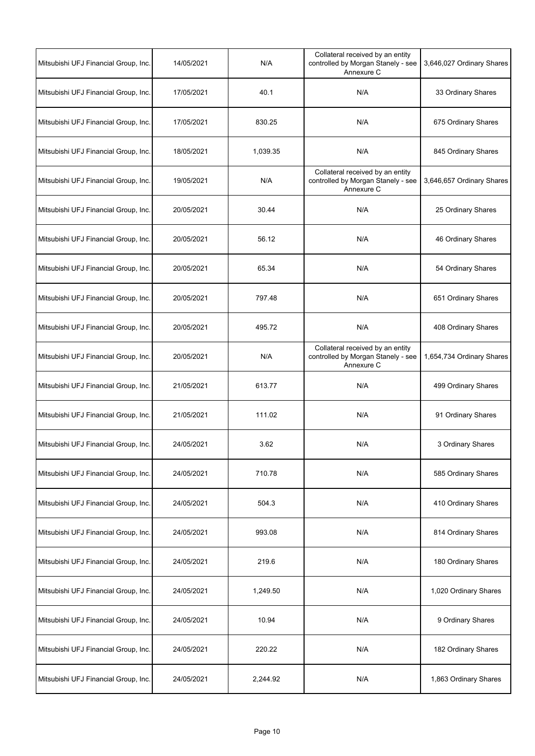| Mitsubishi UFJ Financial Group, Inc. | 14/05/2021 | N/A      | Collateral received by an entity<br>controlled by Morgan Stanely - see<br>Annexure C | 3,646,027 Ordinary Shares |
|--------------------------------------|------------|----------|--------------------------------------------------------------------------------------|---------------------------|
| Mitsubishi UFJ Financial Group, Inc. | 17/05/2021 | 40.1     | N/A                                                                                  | 33 Ordinary Shares        |
| Mitsubishi UFJ Financial Group, Inc. | 17/05/2021 | 830.25   | N/A                                                                                  | 675 Ordinary Shares       |
| Mitsubishi UFJ Financial Group, Inc. | 18/05/2021 | 1,039.35 | N/A                                                                                  | 845 Ordinary Shares       |
| Mitsubishi UFJ Financial Group, Inc. | 19/05/2021 | N/A      | Collateral received by an entity<br>controlled by Morgan Stanely - see<br>Annexure C | 3,646,657 Ordinary Shares |
| Mitsubishi UFJ Financial Group, Inc. | 20/05/2021 | 30.44    | N/A                                                                                  | 25 Ordinary Shares        |
| Mitsubishi UFJ Financial Group, Inc. | 20/05/2021 | 56.12    | N/A                                                                                  | 46 Ordinary Shares        |
| Mitsubishi UFJ Financial Group, Inc. | 20/05/2021 | 65.34    | N/A                                                                                  | 54 Ordinary Shares        |
| Mitsubishi UFJ Financial Group, Inc. | 20/05/2021 | 797.48   | N/A                                                                                  | 651 Ordinary Shares       |
| Mitsubishi UFJ Financial Group, Inc. | 20/05/2021 | 495.72   | N/A                                                                                  | 408 Ordinary Shares       |
| Mitsubishi UFJ Financial Group, Inc. | 20/05/2021 | N/A      | Collateral received by an entity<br>controlled by Morgan Stanely - see<br>Annexure C | 1,654,734 Ordinary Shares |
| Mitsubishi UFJ Financial Group, Inc. | 21/05/2021 | 613.77   | N/A                                                                                  | 499 Ordinary Shares       |
| Mitsubishi UFJ Financial Group, Inc. | 21/05/2021 | 111.02   | N/A                                                                                  | 91 Ordinary Shares        |
| Mitsubishi UFJ Financial Group, Inc. | 24/05/2021 | 3.62     | N/A                                                                                  | 3 Ordinary Shares         |
| Mitsubishi UFJ Financial Group, Inc. | 24/05/2021 | 710.78   | N/A                                                                                  | 585 Ordinary Shares       |
| Mitsubishi UFJ Financial Group, Inc. | 24/05/2021 | 504.3    | N/A                                                                                  | 410 Ordinary Shares       |
| Mitsubishi UFJ Financial Group, Inc. | 24/05/2021 | 993.08   | N/A                                                                                  | 814 Ordinary Shares       |
| Mitsubishi UFJ Financial Group, Inc. | 24/05/2021 | 219.6    | N/A                                                                                  | 180 Ordinary Shares       |
| Mitsubishi UFJ Financial Group, Inc. | 24/05/2021 | 1,249.50 | N/A                                                                                  | 1,020 Ordinary Shares     |
| Mitsubishi UFJ Financial Group, Inc. | 24/05/2021 | 10.94    | N/A                                                                                  | 9 Ordinary Shares         |
| Mitsubishi UFJ Financial Group, Inc. | 24/05/2021 | 220.22   | N/A                                                                                  | 182 Ordinary Shares       |
| Mitsubishi UFJ Financial Group, Inc. | 24/05/2021 | 2,244.92 | N/A                                                                                  | 1,863 Ordinary Shares     |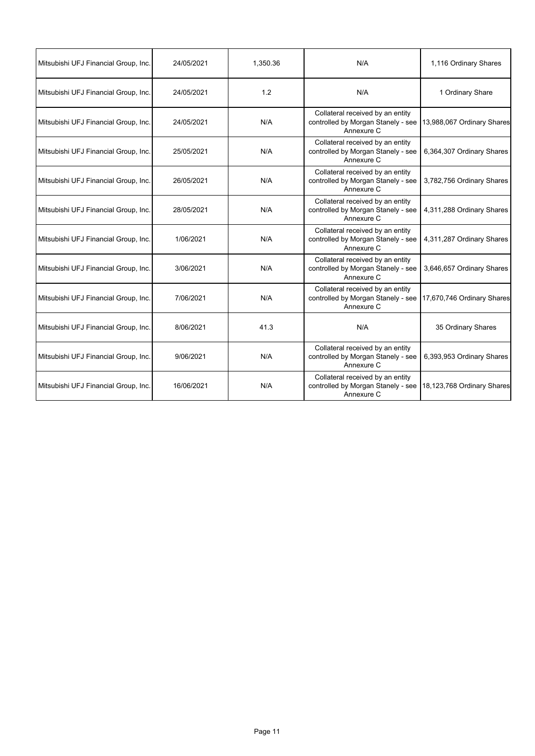| Mitsubishi UFJ Financial Group, Inc. | 24/05/2021 | 1,350.36 | N/A                                                                                  | 1,116 Ordinary Shares      |
|--------------------------------------|------------|----------|--------------------------------------------------------------------------------------|----------------------------|
| Mitsubishi UFJ Financial Group, Inc. | 24/05/2021 | 1.2      | N/A                                                                                  | 1 Ordinary Share           |
| Mitsubishi UFJ Financial Group, Inc. | 24/05/2021 | N/A      | Collateral received by an entity<br>controlled by Morgan Stanely - see<br>Annexure C | 13,988,067 Ordinary Shares |
| Mitsubishi UFJ Financial Group, Inc. | 25/05/2021 | N/A      | Collateral received by an entity<br>controlled by Morgan Stanely - see<br>Annexure C | 6,364,307 Ordinary Shares  |
| Mitsubishi UFJ Financial Group, Inc. | 26/05/2021 | N/A      | Collateral received by an entity<br>controlled by Morgan Stanely - see<br>Annexure C | 3,782,756 Ordinary Shares  |
| Mitsubishi UFJ Financial Group, Inc. | 28/05/2021 | N/A      | Collateral received by an entity<br>controlled by Morgan Stanely - see<br>Annexure C | 4,311,288 Ordinary Shares  |
| Mitsubishi UFJ Financial Group, Inc. | 1/06/2021  | N/A      | Collateral received by an entity<br>controlled by Morgan Stanely - see<br>Annexure C | 4,311,287 Ordinary Shares  |
| Mitsubishi UFJ Financial Group, Inc. | 3/06/2021  | N/A      | Collateral received by an entity<br>controlled by Morgan Stanely - see<br>Annexure C | 3,646,657 Ordinary Shares  |
| Mitsubishi UFJ Financial Group, Inc. | 7/06/2021  | N/A      | Collateral received by an entity<br>controlled by Morgan Stanely - see<br>Annexure C | 17,670,746 Ordinary Shares |
| Mitsubishi UFJ Financial Group, Inc. | 8/06/2021  | 41.3     | N/A                                                                                  | 35 Ordinary Shares         |
| Mitsubishi UFJ Financial Group, Inc. | 9/06/2021  | N/A      | Collateral received by an entity<br>controlled by Morgan Stanely - see<br>Annexure C | 6,393,953 Ordinary Shares  |
| Mitsubishi UFJ Financial Group, Inc. | 16/06/2021 | N/A      | Collateral received by an entity<br>controlled by Morgan Stanely - see<br>Annexure C | 18,123,768 Ordinary Shares |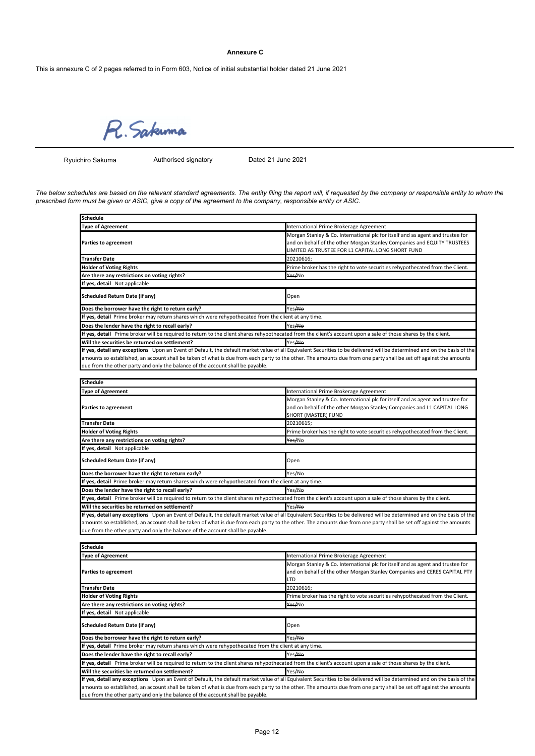#### **Annexure C**

This is annexure C of 2 pages referred to in Form 603, Notice of initial substantial holder dated 21 June 2021

R. Sakuma

Ryuichiro Sakuma

Authorised signatory Dated 21 June 2021

*The below schedules are based on the relevant standard agreements. The entity filing the report will, if requested by the company or responsible entity to whom the prescribed form must be given or ASIC, give a copy of the agreement to the company, responsible entity or ASIC.*

| <b>Schedule</b>                                                                                      |                                                                                                                                                                                                                                                                                                                                                |
|------------------------------------------------------------------------------------------------------|------------------------------------------------------------------------------------------------------------------------------------------------------------------------------------------------------------------------------------------------------------------------------------------------------------------------------------------------|
| <b>Type of Agreement</b>                                                                             | International Prime Brokerage Agreement                                                                                                                                                                                                                                                                                                        |
|                                                                                                      | Morgan Stanley & Co. International plc for itself and as agent and trustee for                                                                                                                                                                                                                                                                 |
| <b>Parties to agreement</b>                                                                          | and on behalf of the other Morgan Stanley Companies and EQUITY TRUSTEES<br>LIMITED AS TRUSTEE FOR L1 CAPITAL LONG SHORT FUND                                                                                                                                                                                                                   |
| <b>Transfer Date</b>                                                                                 | 20210616;                                                                                                                                                                                                                                                                                                                                      |
| <b>Holder of Voting Rights</b>                                                                       | Prime broker has the right to vote securities rehypothecated from the Client.                                                                                                                                                                                                                                                                  |
| Are there any restrictions on voting rights?                                                         | Yes/No                                                                                                                                                                                                                                                                                                                                         |
| If yes, detail Not applicable                                                                        |                                                                                                                                                                                                                                                                                                                                                |
| <b>Scheduled Return Date (if any)</b>                                                                | Open                                                                                                                                                                                                                                                                                                                                           |
| Does the borrower have the right to return early?                                                    | Yes/No                                                                                                                                                                                                                                                                                                                                         |
| If yes, detail Prime broker may return shares which were rehypothecated from the client at any time. |                                                                                                                                                                                                                                                                                                                                                |
| Does the lender have the right to recall early?                                                      | Yes/No                                                                                                                                                                                                                                                                                                                                         |
|                                                                                                      | If yes, detail Prime broker will be required to return to the client shares rehypothecated from the client's account upon a sale of those shares by the client.                                                                                                                                                                                |
| Will the securities be returned on settlement?                                                       | Yes/No                                                                                                                                                                                                                                                                                                                                         |
| due from the other party and only the balance of the account shall be payable.                       | If yes, detail any exceptions Upon an Event of Default, the default market value of all Equivalent Securities to be delivered will be determined and on the basis of the<br>amounts so established, an account shall be taken of what is due from each party to the other. The amounts due from one party shall be set off against the amounts |
|                                                                                                      |                                                                                                                                                                                                                                                                                                                                                |
| <b>Schedule</b>                                                                                      |                                                                                                                                                                                                                                                                                                                                                |
| <b>Type of Agreement</b>                                                                             | International Prime Brokerage Agreement                                                                                                                                                                                                                                                                                                        |
|                                                                                                      | Morgan Stanley & Co. International plc for itself and as agent and trustee for                                                                                                                                                                                                                                                                 |
|                                                                                                      |                                                                                                                                                                                                                                                                                                                                                |

| <b>Parties to agreement</b>                                                                                                                                     | Morgan Stanley & Co. International pic for itself and as agent and trustee for                                                                                           |
|-----------------------------------------------------------------------------------------------------------------------------------------------------------------|--------------------------------------------------------------------------------------------------------------------------------------------------------------------------|
|                                                                                                                                                                 | and on behalf of the other Morgan Stanley Companies and L1 CAPITAL LONG                                                                                                  |
|                                                                                                                                                                 | SHORT (MASTER) FUND                                                                                                                                                      |
| <b>Transfer Date</b>                                                                                                                                            | 20210615;                                                                                                                                                                |
| <b>Holder of Voting Rights</b>                                                                                                                                  | Prime broker has the right to vote securities rehypothecated from the Client.                                                                                            |
| Are there any restrictions on voting rights?                                                                                                                    | Yes/No                                                                                                                                                                   |
| If yes, detail Not applicable                                                                                                                                   |                                                                                                                                                                          |
| Scheduled Return Date (if any)                                                                                                                                  | Open                                                                                                                                                                     |
| Does the borrower have the right to return early?                                                                                                               | Yes/No                                                                                                                                                                   |
| If yes, detail Prime broker may return shares which were rehypothecated from the client at any time.                                                            |                                                                                                                                                                          |
| Does the lender have the right to recall early?                                                                                                                 | Yes/No                                                                                                                                                                   |
| If yes, detail Prime broker will be required to return to the client shares rehypothecated from the client's account upon a sale of those shares by the client. |                                                                                                                                                                          |
| Will the securities be returned on settlement?                                                                                                                  | Yes/No                                                                                                                                                                   |
|                                                                                                                                                                 | If yes, detail any exceptions Upon an Event of Default, the default market value of all Equivalent Securities to be delivered will be determined and on the basis of the |
|                                                                                                                                                                 | amounts so established, an account shall be taken of what is due from each party to the other. The amounts due from one party shall be set off against the amounts       |

due from the other party and only the balance of the account shall be payable.

| Schedule                                                                                                                                                                                                                                                                                                                                       |                                                                                                                                                                    |
|------------------------------------------------------------------------------------------------------------------------------------------------------------------------------------------------------------------------------------------------------------------------------------------------------------------------------------------------|--------------------------------------------------------------------------------------------------------------------------------------------------------------------|
| <b>Type of Agreement</b>                                                                                                                                                                                                                                                                                                                       | International Prime Brokerage Agreement                                                                                                                            |
| <b>Parties to agreement</b>                                                                                                                                                                                                                                                                                                                    | Morgan Stanley & Co. International plc for itself and as agent and trustee for<br>and on behalf of the other Morgan Stanley Companies and CERES CAPITAL PTY<br>LTD |
| <b>Transfer Date</b>                                                                                                                                                                                                                                                                                                                           | 20210616:                                                                                                                                                          |
| <b>Holder of Voting Rights</b>                                                                                                                                                                                                                                                                                                                 | Prime broker has the right to vote securities rehypothecated from the Client.                                                                                      |
| Are there any restrictions on voting rights?                                                                                                                                                                                                                                                                                                   | <del>Yes/</del> No                                                                                                                                                 |
| If yes, detail Not applicable                                                                                                                                                                                                                                                                                                                  |                                                                                                                                                                    |
| Scheduled Return Date (if any)                                                                                                                                                                                                                                                                                                                 | Open                                                                                                                                                               |
| Does the borrower have the right to return early?                                                                                                                                                                                                                                                                                              | Yes/No                                                                                                                                                             |
| If yes, detail Prime broker may return shares which were rehypothecated from the client at any time.                                                                                                                                                                                                                                           |                                                                                                                                                                    |
| Does the lender have the right to recall early?                                                                                                                                                                                                                                                                                                | Yes/No                                                                                                                                                             |
| If yes, detail Prime broker will be required to return to the client shares rehypothecated from the client's account upon a sale of those shares by the client.                                                                                                                                                                                |                                                                                                                                                                    |
| Will the securities be returned on settlement?                                                                                                                                                                                                                                                                                                 | Yes/No                                                                                                                                                             |
| If yes, detail any exceptions Upon an Event of Default, the default market value of all Equivalent Securities to be delivered will be determined and on the basis of the<br>amounts so established, an account shall be taken of what is due from each party to the other. The amounts due from one party shall be set off against the amounts |                                                                                                                                                                    |